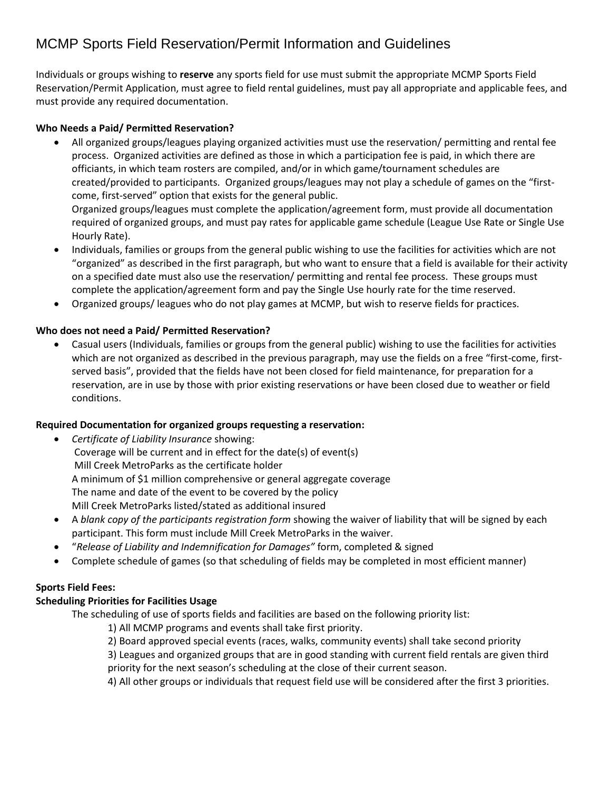## MCMP Sports Field Reservation/Permit Information and Guidelines

Individuals or groups wishing to **reserve** any sports field for use must submit the appropriate MCMP Sports Field Reservation/Permit Application, must agree to field rental guidelines, must pay all appropriate and applicable fees, and must provide any required documentation.

#### **Who Needs a Paid/ Permitted Reservation?**

- All organized groups/leagues playing organized activities must use the reservation/ permitting and rental fee process. Organized activities are defined as those in which a participation fee is paid, in which there are officiants, in which team rosters are compiled, and/or in which game/tournament schedules are created/provided to participants. Organized groups/leagues may not play a schedule of games on the "firstcome, first-served" option that exists for the general public. Organized groups/leagues must complete the application/agreement form, must provide all documentation required of organized groups, and must pay rates for applicable game schedule (League Use Rate or Single Use Hourly Rate).
- Individuals, families or groups from the general public wishing to use the facilities for activities which are not "organized" as described in the first paragraph, but who want to ensure that a field is available for their activity on a specified date must also use the reservation/ permitting and rental fee process. These groups must complete the application/agreement form and pay the Single Use hourly rate for the time reserved.
- Organized groups/ leagues who do not play games at MCMP, but wish to reserve fields for practices.

#### **Who does not need a Paid/ Permitted Reservation?**

 Casual users (Individuals, families or groups from the general public) wishing to use the facilities for activities which are not organized as described in the previous paragraph, may use the fields on a free "first-come, firstserved basis", provided that the fields have not been closed for field maintenance, for preparation for a reservation, are in use by those with prior existing reservations or have been closed due to weather or field conditions.

#### **Required Documentation for organized groups requesting a reservation:**

- *Certificate of Liability Insurance* showing: Coverage will be current and in effect for the date(s) of event(s) Mill Creek MetroParks as the certificate holder A minimum of \$1 million comprehensive or general aggregate coverage The name and date of the event to be covered by the policy Mill Creek MetroParks listed/stated as additional insured
- A *blank copy of the participants registration form* showing the waiver of liability that will be signed by each participant. This form must include Mill Creek MetroParks in the waiver.
- "*Release of Liability and Indemnification for Damages"* form, completed & signed
- Complete schedule of games (so that scheduling of fields may be completed in most efficient manner)

### **Sports Field Fees:**

### **Scheduling Priorities for Facilities Usage**

The scheduling of use of sports fields and facilities are based on the following priority list:

- 1) All MCMP programs and events shall take first priority.
- 2) Board approved special events (races, walks, community events) shall take second priority

3) Leagues and organized groups that are in good standing with current field rentals are given third priority for the next season's scheduling at the close of their current season.

4) All other groups or individuals that request field use will be considered after the first 3 priorities.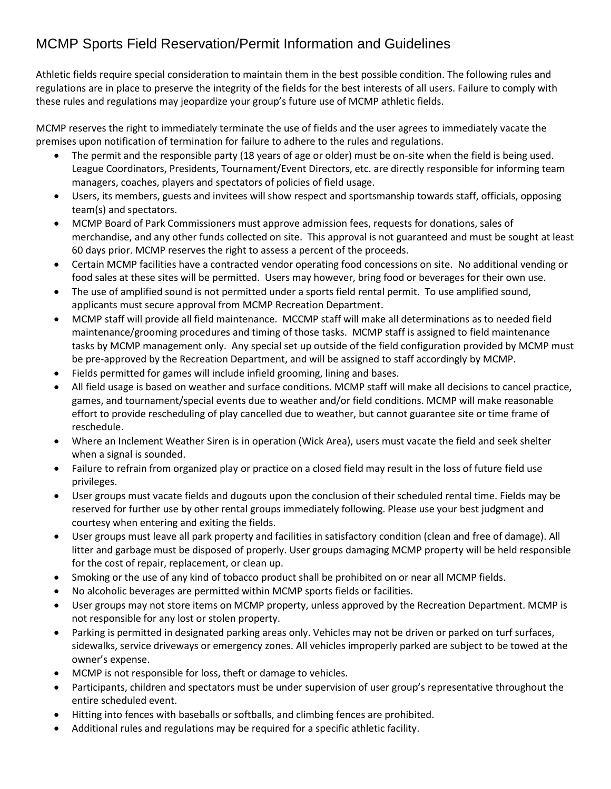# MCMP Sports Field Reservation/Permit Information and Guidelines

Athletic fields require special consideration to maintain them in the best possible condition. The following rules and regulations are in place to preserve the integrity of the fields for the best interests of all users. Failure to comply with these rules and regulations may jeopardize your group's future use of MCMP athletic fields.

MCMP reserves the right to immediately terminate the use of fields and the user agrees to immediately vacate the premises upon notification of termination for failure to adhere to the rules and regulations.

- The permit and the responsible party (18 years of age or older) must be on-site when the field is being used. League Coordinators, Presidents, Tournament/Event Directors, etc. are directly responsible for informing team managers, coaches, players and spectators of policies of field usage.
- Users, its members, guests and invitees will show respect and sportsmanship towards staff, officials, opposing team(s) and spectators.
- MCMP Board of Park Commissioners must approve admission fees, requests for donations, sales of merchandise, and any other funds collected on site. This approval is not guaranteed and must be sought at least 60 days prior. MCMP reserves the right to assess a percent of the proceeds.
- Certain MCMP facilities have a contracted vendor operating food concessions on site. No additional vending or food sales at these sites will be permitted. Users may however, bring food or beverages for their own use.
- The use of amplified sound is not permitted under a sports field rental permit. To use amplified sound, applicants must secure approval from MCMP Recreation Department.
- MCMP staff will provide all field maintenance. MCCMP staff will make all determinations as to needed field maintenance/grooming procedures and timing of those tasks. MCMP staff is assigned to field maintenance tasks by MCMP management only. Any special set up outside of the field configuration provided by MCMP must be pre-approved by the Recreation Department, and will be assigned to staff accordingly by MCMP.
- Fields permitted for games will include infield grooming, lining and bases.
- All field usage is based on weather and surface conditions. MCMP staff will make all decisions to cancel practice, games, and tournament/special events due to weather and/or field conditions. MCMP will make reasonable effort to provide rescheduling of play cancelled due to weather, but cannot guarantee site or time frame of reschedule.
- Where an Inclement Weather Siren is in operation (Wick Area), users must vacate the field and seek shelter when a signal is sounded.
- Failure to refrain from organized play or practice on a closed field may result in the loss of future field use privileges.
- User groups must vacate fields and dugouts upon the conclusion of their scheduled rental time. Fields may be reserved for further use by other rental groups immediately following. Please use your best judgment and courtesy when entering and exiting the fields.
- User groups must leave all park property and facilities in satisfactory condition (clean and free of damage). All litter and garbage must be disposed of properly. User groups damaging MCMP property will be held responsible for the cost of repair, replacement, or clean up.
- Smoking or the use of any kind of tobacco product shall be prohibited on or near all MCMP fields.
- No alcoholic beverages are permitted within MCMP sports fields or facilities.
- User groups may not store items on MCMP property, unless approved by the Recreation Department. MCMP is not responsible for any lost or stolen property.
- Parking is permitted in designated parking areas only. Vehicles may not be driven or parked on turf surfaces, sidewalks, service driveways or emergency zones. All vehicles improperly parked are subject to be towed at the owner's expense.
- MCMP is not responsible for loss, theft or damage to vehicles.
- Participants, children and spectators must be under supervision of user group's representative throughout the entire scheduled event.
- Hitting into fences with baseballs or softballs, and climbing fences are prohibited.
- Additional rules and regulations may be required for a specific athletic facility.